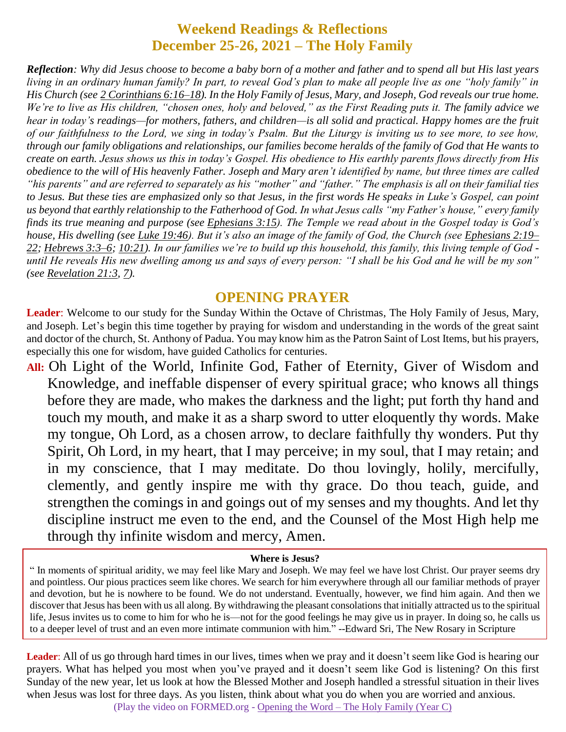# **Weekend Readings & Reflections December 25-26, 2021 – The Holy Family**

*Reflection: Why did Jesus choose to become a baby born of a mother and father and to spend all but His last years living in an ordinary human family? In part, to reveal God's plan to make all people live as one "holy family" in His Church (see 2 [Corinthians](https://biblia.com/bible/rsvce/2%20Cor%206.16%E2%80%9318) 6:16–18). In the Holy Family of Jesus, Mary, and Joseph, God reveals our true home. We're to live as His children, "chosen ones, holy and beloved," as the First Reading puts it. The family advice we hear in today's readings—for mothers, fathers, and children—is all solid and practical. Happy homes are the fruit of our faithfulness to the Lord, we sing in today's Psalm. But the Liturgy is inviting us to see more, to see how, through our family obligations and relationships, our families become heralds of the family of God that He wants to create on earth. Jesus shows us this in today's Gospel. His obedience to His earthly parents flows directly from His obedience to the will of His heavenly Father. Joseph and Mary aren't identified by name, but three times are called "his parents" and are referred to separately as his "mother" and "father." The emphasis is all on their familial ties to Jesus. But these ties are emphasized only so that Jesus, in the first words He speaks in Luke's Gospel, can point us beyond that earthly relationship to the Fatherhood of God. In what Jesus calls "my Father's house," every family finds its true meaning and purpose (see [Ephesians](https://biblia.com/bible/rsvce/Eph%203.15) 3:15). The Temple we read about in the Gospel today is God's house, His dwelling (see Luke [19:46\)](https://biblia.com/bible/rsvce/Luke%2019.46). But it's also an image of the family of God, the Church (see [Ephesians](https://biblia.com/bible/rsvce/Eph%202.19%E2%80%9322) 2:19– [22;](https://biblia.com/bible/rsvce/Eph%202.19%E2%80%9322) [Hebrews](https://biblia.com/bible/rsvce/Heb%203.3%E2%80%936) 3:3–6; [10:21\)](https://biblia.com/bible/rsvce/Hebrews%2010.21). In our families we're to build up this household, this family, this living temple of God until He reveals His new dwelling among us and says of every person: "I shall be his God and he will be my son" (see [Revelation](https://biblia.com/bible/rsvce/Rev%2021.3) 21:3, [7\)](https://biblia.com/bible/rsvce/Revelation%2021.7).*

#### **OPENING PRAYER**

**Leader**: Welcome to our study for the Sunday Within the Octave of Christmas, The Holy Family of Jesus, Mary, and Joseph. Let's begin this time together by praying for wisdom and understanding in the words of the great saint and doctor of the church, St. Anthony of Padua. You may know him as the Patron Saint of Lost Items, but his prayers, especially this one for wisdom, have guided Catholics for centuries.

**All:** Oh Light of the World, Infinite God, Father of Eternity, Giver of Wisdom and Knowledge, and ineffable dispenser of every spiritual grace; who knows all things before they are made, who makes the darkness and the light; put forth thy hand and touch my mouth, and make it as a sharp sword to utter eloquently thy words. Make my tongue, Oh Lord, as a chosen arrow, to declare faithfully thy wonders. Put thy Spirit, Oh Lord, in my heart, that I may perceive; in my soul, that I may retain; and in my conscience, that I may meditate. Do thou lovingly, holily, mercifully, clemently, and gently inspire me with thy grace. Do thou teach, guide, and strengthen the comings in and goings out of my senses and my thoughts. And let thy discipline instruct me even to the end, and the Counsel of the Most High help me through thy infinite wisdom and mercy, Amen.

#### **Where is Jesus?**

" In moments of spiritual aridity, we may feel like Mary and Joseph. We may feel we have lost Christ. Our prayer seems dry and pointless. Our pious practices seem like chores. We search for him everywhere through all our familiar methods of prayer and devotion, but he is nowhere to be found. We do not understand. Eventually, however, we find him again. And then we discover that Jesus has been with us all along. By withdrawing the pleasant consolations that initially attracted us to the spiritual life, Jesus invites us to come to him for who he is—not for the good feelings he may give us in prayer. In doing so, he calls us to a deeper level of trust and an even more intimate communion with him." --Edward Sri, The New Rosary in Scripture

Leader: All of us go through hard times in our lives, times when we pray and it doesn't seem like God is hearing our prayers. What has helped you most when you've prayed and it doesn't seem like God is listening? On this first Sunday of the new year, let us look at how the Blessed Mother and Joseph handled a stressful situation in their lives when Jesus was lost for three days. As you listen, think about what you do when you are worried and anxious. (Play the video on FORMED.org - Opening the Word – [The Holy Family \(Year C\)](https://watch.formed.org/opening-the-word-1/season:3/videos/the-holy-family-december-30-2018)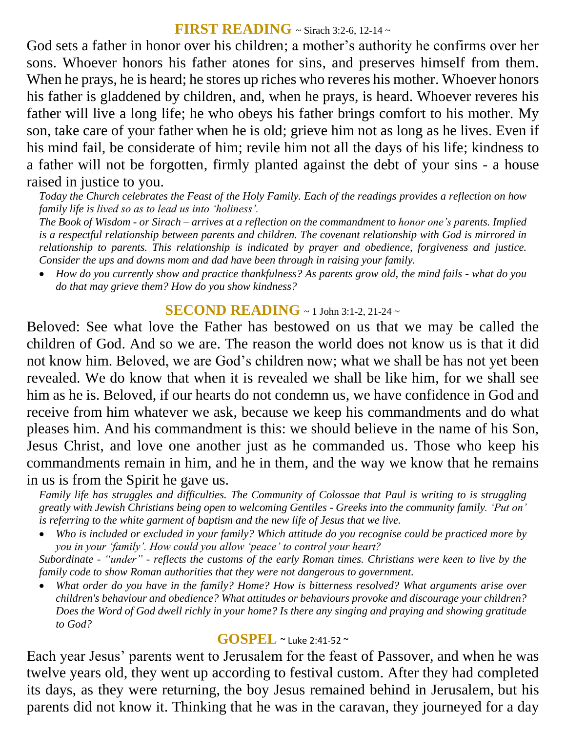#### **FIRST READING** ~ Sirach 3:2-6, 12-14 ~

God sets a father in honor over his children; a mother's authority he confirms over her sons. Whoever honors his father atones for sins, and preserves himself from them. When he prays, he is heard; he stores up riches who reveres his mother. Whoever honors his father is gladdened by children, and, when he prays, is heard. Whoever reveres his father will live a long life; he who obeys his father brings comfort to his mother. My son, take care of your father when he is old; grieve him not as long as he lives. Even if his mind fail, be considerate of him; revile him not all the days of his life; kindness to a father will not be forgotten, firmly planted against the debt of your sins - a house raised in justice to you.

*Today the Church celebrates the Feast of the Holy Family. Each of the readings provides a reflection on how family life is lived so as to lead us into 'holiness'.*

*The Book of Wisdom - or Sirach – arrives at a reflection on the commandment to honor one's parents. Implied is a respectful relationship between parents and children. The covenant relationship with God is mirrored in relationship to parents. This relationship is indicated by prayer and obedience, forgiveness and justice. Consider the ups and downs mom and dad have been through in raising your family.* 

 *How do you currently show and practice thankfulness? As parents grow old, the mind fails - what do you do that may grieve them? How do you show kindness?*

### **SECOND READING** ~ 1 John 3:1-2, 21-24 <sup>~</sup>

Beloved: See what love the Father has bestowed on us that we may be called the children of God. And so we are. The reason the world does not know us is that it did not know him. Beloved, we are God's children now; what we shall be has not yet been revealed. We do know that when it is revealed we shall be like him, for we shall see him as he is. Beloved, if our hearts do not condemn us, we have confidence in God and receive from him whatever we ask, because we keep his commandments and do what pleases him. And his commandment is this: we should believe in the name of his Son, Jesus Christ, and love one another just as he commanded us. Those who keep his commandments remain in him, and he in them, and the way we know that he remains in us is from the Spirit he gave us.

*Family life has struggles and difficulties. The Community of Colossae that Paul is writing to is struggling greatly with Jewish Christians being open to welcoming Gentiles - Greeks into the community family. 'Put on' is referring to the white garment of baptism and the new life of Jesus that we live.* 

 *Who is included or excluded in your family? Which attitude do you recognise could be practiced more by you in your 'family'. How could you allow 'peace' to control your heart?*

*Subordinate - "under" - reflects the customs of the early Roman times. Christians were keen to live by the family code to show Roman authorities that they were not dangerous to government.* 

 *What order do you have in the family? Home? How is bitterness resolved? What arguments arise over children's behaviour and obedience? What attitudes or behaviours provoke and discourage your children? Does the Word of God dwell richly in your home? Is there any singing and praying and showing gratitude to God?*

### **GOSPEL** ~ Luke 2:41-52 <sup>~</sup>

Each year Jesus' parents went to Jerusalem for the feast of Passover, and when he was twelve years old, they went up according to festival custom. After they had completed its days, as they were returning, the boy Jesus remained behind in Jerusalem, but his parents did not know it. Thinking that he was in the caravan, they journeyed for a day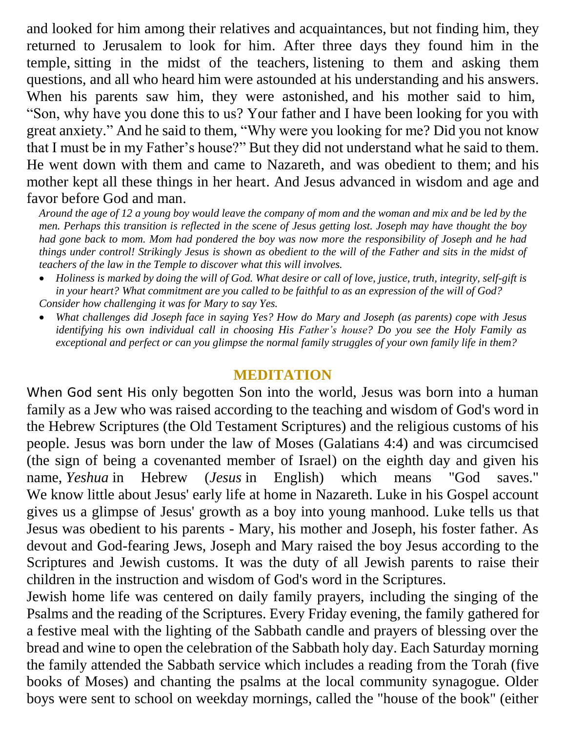and looked for him among their relatives and acquaintances, but not finding him, they returned to Jerusalem to look for him. After three days they found him in the temple, sitting in the midst of the teachers, listening to them and asking them questions, and all who heard him were astounded at his understanding and his answers. When his parents saw him, they were astonished, and his mother said to him, "Son, why have you done this to us? Your father and I have been looking for you with great anxiety." And he said to them, "Why were you looking for me? Did you not know that I must be in my Father's house?" But they did not understand what he said to them. He went down with them and came to Nazareth, and was obedient to them; and his mother kept all these things in her heart. And Jesus advanced in wisdom and age and favor before God and man.

*Around the age of 12 a young boy would leave the company of mom and the woman and mix and be led by the men. Perhaps this transition is reflected in the scene of Jesus getting lost. Joseph may have thought the boy had gone back to mom. Mom had pondered the boy was now more the responsibility of Joseph and he had things under control! Strikingly Jesus is shown as obedient to the will of the Father and sits in the midst of teachers of the law in the Temple to discover what this will involves.*

- *Holiness is marked by doing the will of God. What desire or call of love, justice, truth, integrity, self-gift is in your heart? What commitment are you called to be faithful to as an expression of the will of God? Consider how challenging it was for Mary to say Yes.*
- *What challenges did Joseph face in saying Yes? How do Mary and Joseph (as parents) cope with Jesus identifying his own individual call in choosing His Father's house? Do you see the Holy Family as exceptional and perfect or can you glimpse the normal family struggles of your own family life in them?*

# **MEDITATION**

When God sent His only begotten Son into the world, Jesus was born into a human family as a Jew who was raised according to the teaching and wisdom of God's word in the Hebrew Scriptures (the Old Testament Scriptures) and the religious customs of his people. Jesus was born under the law of Moses (Galatians 4:4) and was circumcised (the sign of being a covenanted member of Israel) on the eighth day and given his name, *Yeshua* in Hebrew (*Jesus* in English) which means "God saves." We know little about Jesus' early life at home in Nazareth. Luke in his Gospel account gives us a glimpse of Jesus' growth as a boy into young manhood. Luke tells us that Jesus was obedient to his parents - Mary, his mother and Joseph, his foster father. As devout and God-fearing Jews, Joseph and Mary raised the boy Jesus according to the Scriptures and Jewish customs. It was the duty of all Jewish parents to raise their children in the instruction and wisdom of God's word in the Scriptures.

Jewish home life was centered on daily family prayers, including the singing of the Psalms and the reading of the Scriptures. Every Friday evening, the family gathered for a festive meal with the lighting of the Sabbath candle and prayers of blessing over the bread and wine to open the celebration of the Sabbath holy day. Each Saturday morning the family attended the Sabbath service which includes a reading from the Torah (five books of Moses) and chanting the psalms at the local community synagogue. Older boys were sent to school on weekday mornings, called the "house of the book" (either